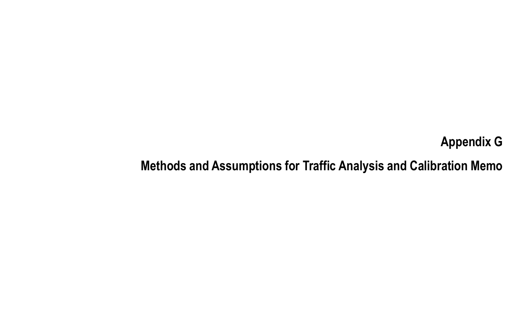# Appendix GMethods and Assumptions for Traffic Analysis and Calibration Memo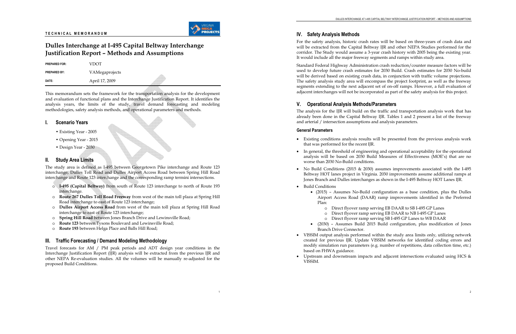# Dulles Interchange at I-495 Capital Beltway Interchange **Iustification Report - Methods and Assumptions**

| <b>PREPARED BY:</b> | VAMegaprojects |  |
|---------------------|----------------|--|
| DATE:               | April 17, 2009 |  |

This memorandum sets the framework for the transportation analysis for the development and evaluation of functional plans and the Interchange Justification Report. It identifies the analysis years, the limits of the study, travel demand forecasting and modeling methodologies, safety analysis methods, and operational parameters and methods.

#### **Scenario Years**

- Existing Year 2005
- Opening Year 2015
- Design Year 2030

#### **Study Area Limits** Ш.

The study area is defined as I-495 between Georgetown Pike interchange and Route 123 interchange, Dulles Toll Road and Dulles Airport Access Road between Spring Hill Road interchange and Route 123 interchange and the corresponding ramp termini intersections.

- o I-495 (Capital Beltway) from south of Route 123 interchange to north of Route 193 interchange.
- o Route 267 Dulles Toll Road Freeway from west of the main toll plaza at Spring Hill Road interchange to east of Route 123 interchange;
- o Dulles Airport Access Road from west of the main toll plaza at Spring Hill Road interchange to east of Route 123 interchange;
- Spring Hill Road between Jones Branch Drive and Lewinsville Road;  $\circ$
- Route 123 between Tysons Boulevard and Lewinsville Road;  $\circ$
- Route 193 between Helga Place and Balls Hill Road;  $\circ$

# III. Traffic Forecasting / Demand Modeling Methodology

Travel forecasts for AM / PM peak periods and ADT design year conditions in the Interchange Justification Report (IJR) analysis will be extracted from the previous IJR and other NEPA Re-evaluation studies. All the volumes will be manually re-adjusted for the proposed Build Conditions.

# **IV.** Safety Analysis Methods

For the safety analysis, historic crash rates will be based on three-years of crash data and will be extracted from the Capital Beltway IJR and other NEPA Studies performed for the corridor. The Study would assume a 3-year crash history with 2005 being the existing year. It would include all the major freeway segments and ramps within study area.

Standard Federal Highway Administration crash reduction/counter measure factors will be used to develop future crash estimates for 2030 Build. Crash estimates for 2030 No-build will be derived based on existing crash data, in conjunction with traffic volume projections. The safety analysis study area will encompass the project footprint, as well as the freeway segments extending to the next adjacent set of on-off ramps. However, a full evaluation of adjacent interchanges will not be incorporated as part of the safety analysis for this project.

## V. Operational Analysis Methods/Parameters

The analysis for the IJR will build on the traffic and transportation analysis work that has already been done in the Capital Beltway IJR. Tables 1 and 2 present a list of the freeway and arterial / intersection assumptions and analysis parameters.

#### **General Parameters**

- that was performed for the recent IJR.
- worse than 2030 No-Build conditions.
- 
- Build Conditions
	- Plan:
	- -
		-
	- **Branch Drive Connector.**
- based on FHWA guidance.
- Upstream and downstream impacts and adjacent intersections evaluated using HCS & VISSIM.

• Existing conditions analysis results will be presented from the previous analysis work

• In general, the threshold of engineering and operational acceptability for the operational analysis will be based on 2030 Build Measures of Effectiveness (MOE's) that are no

• No Build Conditions (2015 & 2030) assumes improvements associated with the I-495 Beltway HOT lanes project in Virginia. 2030 improvements assume additional ramps at Jones Branch and Dulles interchanges as shown in the I-495 Beltway HOT Lanes IJR.

• (2015) - Assumes No-Build configuration as a base condition, plus the Dulles Airport Access Road (DAAR) ramp improvements identified in the Preferred

o Direct flyover ramp serving EB DAAR to SB I-495 GP Lanes o Direct flyover ramp serving EB DAAR to NB I-495 GP Lanes o Direct flyover ramp serving SB I-495 GP Lanes to WB DAAR • (2030) - Assumes Build 2015 Build configuration, plus modification of Jones

• VISSIM output analysis performed within the study area limits only, utilizing network created for previous IJR. Update VISSIM networks for identified coding errors and modify simulation run parameters (e.g. number of repetitions, data collection time, etc.)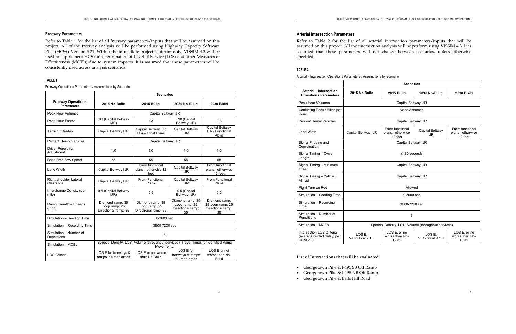#### **Freeway Parameters**

Refer to Table 1 for the list of all freeway parameters/inputs that will be assumed on this project. All of the freeway analysis will be performed using Highway Capacity Software Plus (HCS+) Version 5.21. Within the immediate project footprint only, VISSIM 4.3 will be used to supplement HCS for determination of Level of Service (LOS) and other Measures of Effectiveness (MOE's) due to system impacts. It is assumed that these parameters will be consistently used across analysis scenarios.

#### **- -**

Freeway Operations Parameters / Assumptions by Scenario

|                                                | <b>Scenarios</b>                                          |                                                                                                    |                                                              |                                                              |  |  |  |  |  |
|------------------------------------------------|-----------------------------------------------------------|----------------------------------------------------------------------------------------------------|--------------------------------------------------------------|--------------------------------------------------------------|--|--|--|--|--|
| <b>Freeway Operations</b><br><b>Parameters</b> | 2015 No-Build                                             | <b>2015 Build</b>                                                                                  | 2030 No-Build                                                | <b>2030 Build</b>                                            |  |  |  |  |  |
| <b>Peak Hour Volumes</b>                       |                                                           | Capital Beltway IJR                                                                                |                                                              |                                                              |  |  |  |  |  |
| Peak Hour Factor                               | .90 (Capital Beltway<br>J(R)                              | .93                                                                                                | .90 (Capital<br>Beltway IJR)                                 | .93                                                          |  |  |  |  |  |
| Terrain / Grades                               | Capital Beltway IJR                                       | Capital Beltway IJR<br>/ Functional Plans                                                          | Capital Beltway<br><b>IJR</b>                                | Capital Beltway<br><b>IJR / Functional</b><br>Plans          |  |  |  |  |  |
| Percent Heavy Vehicles                         |                                                           | Capital Beltway IJR                                                                                |                                                              |                                                              |  |  |  |  |  |
| <b>Driver Population</b><br>Adjustment         | 1.0                                                       | 1.0                                                                                                | 1.0                                                          | 1.0                                                          |  |  |  |  |  |
| <b>Base Free-flow Speed</b>                    | 55                                                        | 55                                                                                                 | 55                                                           | 55                                                           |  |  |  |  |  |
| Lane Width                                     | Capital Beltway IJR                                       | From functional<br>plans, otherwise 12<br>feet                                                     | Capital Beltway<br>IJR.                                      | From functional<br>plans, otherwise<br>12 feet               |  |  |  |  |  |
| Right-shoulder Lateral<br>Clearance            | Capital Beltway IJR                                       | From Functional<br>Plans                                                                           | Capital Beltway<br><b>IJR</b>                                | From Functional<br>Plans                                     |  |  |  |  |  |
| Interchange Density (per<br>mile)              | 0.5 (Capital Beltway<br>J(R)                              | 0.5                                                                                                | 0.5 (Capital<br>Beltway IJR)                                 | 0.5                                                          |  |  |  |  |  |
| Ramp Free-flow Speeds<br>(mph)                 | Diamond ramp: 35<br>Loop ramp: 25<br>Directional ramp: 35 | Diamond ramp: 35<br>Loop ramp: 25<br>Directional ramp: 35                                          | Diamond ramp: 35<br>Loop ramp: 25<br>Directional ramp:<br>35 | Diamond ramp:<br>35 Loop ramp: 25<br>Directional ramp:<br>35 |  |  |  |  |  |
| Simulation - Seeding Time                      |                                                           | 0-3600 sec                                                                                         |                                                              |                                                              |  |  |  |  |  |
| Simulation - Recording Time                    |                                                           | 3600-7200 sec                                                                                      |                                                              |                                                              |  |  |  |  |  |
| Simulation - Number of<br>Repetitions          |                                                           | 8                                                                                                  |                                                              |                                                              |  |  |  |  |  |
| Simulation - MOEs                              |                                                           | Speeds, Density, LOS, Volume (throughput serviced), Travel Times for identified Ramp<br>Movements. |                                                              |                                                              |  |  |  |  |  |
| <b>LOS Criteria</b>                            | LOS E for freeways &<br>ramps in urban areas              | LOS E or not worse<br>than No-Build                                                                | LOS E for<br>freeways & ramps<br>in urban areas              | LOS E or not<br>worse than No-<br>Build                      |  |  |  |  |  |

#### Arterial Intersection Parameters

Refer to Table 2 for the list of all arterial intersection parameters/inputs that will be assumed on this project. All the intersection analysis will be perform using VISSIM 4.3. It is assumed that these parameters will not change between scenarios, unless otherwise specified.

#### **- .**

Arterial – Intersection Operations Parameters / Assumptions

|  | s by Scenario |  |
|--|---------------|--|
|  |               |  |

|                                                                             | <b>Scenarios</b>                 |                                                                                 |                                  |                                                |  |  |  |  |
|-----------------------------------------------------------------------------|----------------------------------|---------------------------------------------------------------------------------|----------------------------------|------------------------------------------------|--|--|--|--|
| <b>Arterial - Intersection</b><br><b>Operations Parameters</b>              | 2015 No Build                    | <b>2015 Build</b>                                                               | 2030 No-Build                    | <b>2030 Build</b>                              |  |  |  |  |
| Peak Hour Volumes                                                           |                                  | Capital Beltway IJR                                                             |                                  |                                                |  |  |  |  |
| Conflicting Peds / Bikes per<br>Hour                                        |                                  | None Assumed                                                                    |                                  |                                                |  |  |  |  |
| Percent Heavy Vehicles                                                      |                                  | Capital Beltway IJR                                                             |                                  |                                                |  |  |  |  |
| Lane Width                                                                  | Capital Beltway IJR              | From functional<br>Capital Beltway<br>plans, otherwise<br><b>IJR</b><br>12 feet |                                  | From functional<br>plans, otherwise<br>12 feet |  |  |  |  |
| Signal Phasing and<br>Coordination                                          | Capital Beltway IJR              |                                                                                 |                                  |                                                |  |  |  |  |
| Signal Timing - Cycle<br>Length                                             | ≤180 seconds                     |                                                                                 |                                  |                                                |  |  |  |  |
| Signal Timing - Minimum<br>Green                                            |                                  | Capital Beltway IJR                                                             |                                  |                                                |  |  |  |  |
| Signal Timing - Yellow +<br>All-red                                         |                                  | Capital Beltway IJR                                                             |                                  |                                                |  |  |  |  |
| Right Turn on Red                                                           |                                  | Allowed                                                                         |                                  |                                                |  |  |  |  |
| Simulation - Seeding Time                                                   |                                  | $0 - 3600$ sec                                                                  |                                  |                                                |  |  |  |  |
| Simulation - Recording<br>Time                                              |                                  | 3600-7200 sec                                                                   |                                  |                                                |  |  |  |  |
| Simulation - Number of<br>Repetitions                                       | 8                                |                                                                                 |                                  |                                                |  |  |  |  |
| Simulation - MOEs                                                           |                                  | Speeds, Density, LOS, Volume (throughput serviced)                              |                                  |                                                |  |  |  |  |
| Intersection LOS Criteria<br>(average control delay) per<br><b>HCM 2000</b> | LOS E.<br>$V/C$ critical $< 1.0$ | LOS E, or no<br>worse than No-<br><b>Build</b>                                  | LOS E.<br>$V/C$ critical $< 1.0$ | LOS E, or no<br>worse than No-<br><b>Build</b> |  |  |  |  |

#### List of Intersections that will be evaluated:

- Georgetown Pike & I-495 SB Off Ramp
- Georgetown Pike & I-495 NB Off Ramp
- Georgetown Pike & Balls Hill Road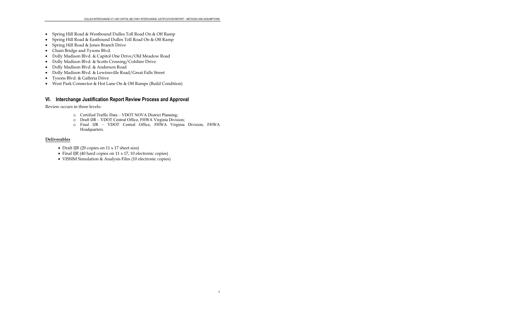- Spring Hill Road & Westbound Dulles Toll Road On & Off Ramp
- Spring Hill Road & Eastbound Dulles Toll Road On & Off Ramp
- Spring Hill Road & Jones Branch Drive
- Chain Bridge and Tysons Blvd.
- · Dolly Madison Blvd. & Capitol One Drive/Old Meadow Road
- Dolly Madison Blvd. & Scotts Crossing/Colshire Drive
- Dolly Madison Blvd. & Anderson Road  $\bullet$
- Dolly Madison Blvd. & Lewinsville Road/Great Falls Street
- Tysons Blvd. & Galleria Drive
- West Park Connector & Hot Lane On & Off Ramps (Build Condition)

# VI. Interchange Justification Report Review Process and Approval

Review occurs in three levels-

- o Certified Traffic Data VDOT NOVA District Planning;
- o Draft IJR VDOT Central Office, FHWA Virginia Division;
- o Final IJR VDOT Central Office, FHWA Virginia Division, FHWA Headquarters.

 $\overline{5}$ 

### **Deliverables**

- Draft IJR (20 copies on  $11 \times 17$  sheet size)
- Final IJR (40 hard copies on 11 x 17, 10 electronic copies)
- VISSIM Simulation & Analysis Files (10 electronic copies)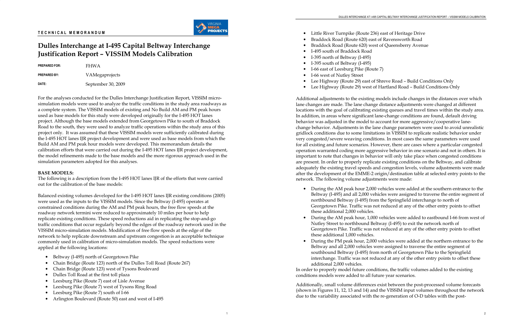1



# Dulles Interchange at I-495 Capital Beltway Interchange Justification Report – VISSIM Models Calibration

PREPARED FOR: FHWA PREPARED BY: VAMegaprojects DATE: September 30, 2009

For the analyses conducted for the Dulles Interchange Justification Report, VISSIM microsimulation models were used to analyze the traffic conditions in the study area roadways as a complete system. The VISSIM models of existing and No Build AM and PM peak hours used as base models for this study were developed originally for the I-495 HOT lanes project. Although the base models extended from Georgetown Pike to south of Braddock Road to the south, they were used to analyze traffic operations within the study area of this project only. It was assumed that these VISSIM models were sufficiently calibrated during the I-495 HOT lanes IJR project development and were used as base models from which the Build AM and PM peak hour models were developed. This memorandum details the calibration efforts that were carried out during the I-495 HOT lanes IJR project development, the model refinements made to the base models and the more rigorous approach used in the simulation parameters adopted for this analyses.

### BASE MODELS:

The following is a description from the I-495 HOT lanes IJR of the efforts that were carried out for the calibration of the base models:

Balanced existing volumes developed for the I-495 HOT lanes IJR existing conditions (2005) were used as the inputs to the VISSIM models. Since the Beltway (I-495) operates at constrained conditions during the AM and PM peak hours, the free flow speeds at the roadway network termini were reduced to approximately 10 miles per hour to help replicate existing conditions. These speed reductions aid in replicating the stop-and-go traffic conditions that occur regularly beyond the edges of the roadway network used in the VISSIM micro-simulation models. Modification of free flow speeds at the edge of the network to help replicate downstream and upstream congestion is an acceptable technique commonly used in calibration of micro-simulation models. The speed reductions were applied at the following locations:

- Beltway (I-495) north of Georgetown Pike
- •Chain Bridge (Route 123) north of the Dulles Toll Road (Route 267)
- $\bullet$ Chain Bridge (Route 123) west of Tysons Boulevard
- Dulles Toll Road at the first toll plaza
- •Leesburg Pike (Route 7) east of Lisle Avenue
- Leesburg Pike (Route 7) west of Tysons Ring Road
- •Leesburg Pike (Route 7) south of I-66
- •Arlington Boulevard (Route 50) east and west of I-495
- Little River Turnpike (Route 236) east of Heritage Drive
- •Braddock Road (Route 620) east of Ravensworth Road
- •Braddock Road (Route 620) west of Queensberry Avenue
- I-495 south of Braddock Road
- I-395 north of Beltway (I-495)
- I-395 south of Beltway (I-495)
- I-66 east of Leesburg Pike (Route 7)
- I-66 west of Nutley Street
- 
- 

# • Lee Highway (Route 29) east of Shreve Road – Build Conditions Only • Lee Highway (Route 29) west of Hartland Road – Build Conditions Only

Additional adjustments to the existing models include changes in the distances over which lane changes are made. The lane change distance adjustments were changed at different locations with the goal of calibrating existing queues and travel times within the study area. In addition, in areas where significant lane-change conditions are found, default driving behavior was adjusted in the model to account for more aggressive/cooperative lanechange behavior. Adjustments in the lane change parameters were used to avoid unrealistic gridlock conditions due to some limitations in VISSIM to replicate realistic behavior under very congested/severe weaving conditions. In most cases the same parameters were used for all existing and future scenarios. However, there are cases where a particular congested operation warranted coding more aggressive behavior in one scenario and not in others. It is important to note that changes in behavior will only take place when congested conditions are present. In order to properly replicate existing conditions on the Beltway, and calibrate adequately the existing travel speeds and congestion levels, volume adjustments were made after the development of the EMME-2 origin/destination table at selected entry points to the network. The following volume adjustments were made:

• During the AM peak hour 2,000 vehicles were added at the southern entrance to the Beltway (I-495) and all 2,000 vehicles were assigned to traverse the entire segment of northbound Beltway (I-495) from the Springfield interchange to north of Georgetown Pike. Traffic was not reduced at any of the other entry points to offset

 During the AM peak hour, 1,000 vehicles were added to eastbound I-66 from west of Nutley Street to northbound Beltway (I-495) to exit the network north of Georgetown Pike. Traffic was not reduced at any of the other entry points to offset

- these additional 2,000 vehicles.
- •these additional 1,000 vehicles.
- •additional 2,000 vehicles.

 During the PM peak hour, 2,000 vehicles were added at the northern entrance to the Beltway and all 2,000 vehicles were assigned to traverse the entire segment of southbound Beltway (I-495) from north of Georgetown Pike to the Springfield interchange. Traffic was not reduced at any of the other entry points to offset these

In order to properly model future conditions, the traffic volumes added to the existing conditions models were added to all future year scenarios.

Additionally, small volume differences exist between the post-processed volume forecasts (shown in Figures 11, 12, 13 and 14) and the VISSIM input volumes throughout the network due to the variability associated with the re-generation of O-D tables with the post-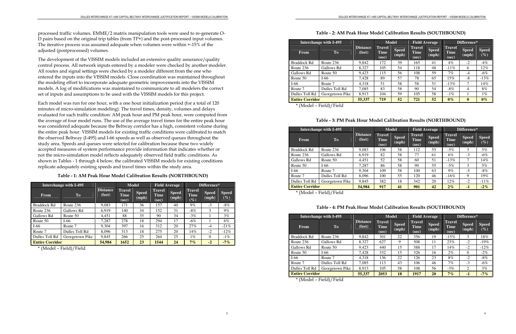#### 3

processed traffic volumes. EMME/2 matrix manipulation tools were used to re-generate O-D pairs based on the original trip tables (from TP+) and the post-processed input volumes. The iterative process was assumed adequate when volumes were within +-15% of the adjusted (postprocessed) volumes.

The development of the VISSIM models included an extensive quality assurance/quality control process. All network inputs entered by a modeler were checked by another modeler. All routes and signal settings were checked by a modeler different from the one who entered the inputs into the VISSIM models. Close coordination was maintained throughout the modeling effort to incorporate adequate geometric improvements into the VISSIM models. A log of modifications was maintained to communicate to all modelers the correct set of inputs and assumptions to be used with the VISSIM models for this project.

Each model was run for one hour, with a one hour initialization period (for a total of 120 minutes of micro-simulation modeling). The travel times, density, volumes and delays evaluated for each traffic condition: AM peak hour and PM peak hour, were computed from the average of four model runs. The use of the average travel times for the entire peak hour was considered adequate because the Beltway corridor has a high, consistent volume during the entire peak hour. VISSIM models for existing traffic conditions were calibrated to match the observed Beltway (I-495) and I-66 speeds as well as observed queues throughout the study area. Speeds and queues were selected for calibration because these two widely accepted measures of system performance provide information that indicates whether or not the micro-simulation model reflects adequately observed field traffic conditions. As shown in Tables - 1 through 4 below, the calibrated VISSIM models for existing conditions replicate adequately existing speeds and travel times within the study area.

Table - 1: AM Peak Hour Model Calibration Results (NORTHBOUND)

|                         | <b>Interchange with I-495</b> |                           | <b>Model</b>                          |                       | <b>Field Average</b>                  |                       | Difference*                            |                       |                        |
|-------------------------|-------------------------------|---------------------------|---------------------------------------|-----------------------|---------------------------------------|-----------------------|----------------------------------------|-----------------------|------------------------|
| <b>From</b>             | <b>To</b>                     | <b>Distance</b><br>(feet) | <b>Travel</b><br><b>Time</b><br>(sec) | <b>Speed</b><br>(mph) | <b>Travel</b><br><b>Time</b><br>(sec) | <b>Speed</b><br>(mph) | <b>Travel</b><br><b>Time</b><br>$(\%)$ | <b>Speed</b><br>(mph) | <b>Speed</b><br>$(\%)$ |
| <b>Braddock Rd</b>      | Route 236                     | 9,083                     | 171                                   | 36                    | 157                                   | 40                    | $9\%$                                  | $-3$                  | $-8\%$                 |
| Route 236               | Gallows Rd                    | 6.919                     | 140                                   | 34                    | 152                                   | 31                    | $-8\%$                                 | 3                     | $9\%$                  |
| Gallows Rd              | Route 50                      | 4,451                     | 88                                    | 35                    | 90                                    | 34                    | $-3\%$                                 |                       | 3%                     |
| Route 50                | $I-66$                        | 7,287                     | 278                                   | 18                    | 294                                   | 17                    | $-6\%$                                 |                       | 6%                     |
| $I-66$                  | Route 7                       | 9.304                     | 397                                   | 16                    | 312                                   | 20                    | 27%                                    | $-4$                  | $-21\%$                |
| Route 7                 | Dulles Toll Rd                | 8.096                     | 313                                   | 18                    | 275                                   | 20                    | 14%                                    | $-2$                  | $-12\%$                |
| Dulles Toll Rd          | Georgetown Pike               | 9,845                     | 266                                   | 25                    | 264                                   | 25                    | $1\%$                                  | $\Omega$              | $-1\%$                 |
| <b>Entire Corridor</b>  |                               | 54,984                    | 1652                                  | 23                    | 1544                                  | 24                    | 7%                                     | $-2$                  | $-7%$                  |
| $+$ $/3$ $/3$ $ 1$ $-1$ | $E: -1.11$ / $E: -1.1$        |                           |                                       |                       |                                       |                       |                                        |                       |                        |

\* (Model – Field)/Field

#### Table - 2: AM Peak Hour Model Calibration Results (SOUTHBOUND)

|                        | <b>Interchange with I-495</b> |                           | <b>Model</b>            |                       |                                | <b>Field Average</b>  | Difference*                           |                       |                        |  |
|------------------------|-------------------------------|---------------------------|-------------------------|-----------------------|--------------------------------|-----------------------|---------------------------------------|-----------------------|------------------------|--|
| <b>From</b>            | T <sub>o</sub>                | <b>Distance</b><br>(feet) | Travel<br>Time<br>(sec) | <b>Speed</b><br>(mph) | <b>Travel</b><br>Time<br>(sec) | <b>Speed</b><br>(mph) | <b>Travel</b><br><b>Time</b><br>(sec) | <b>Speed</b><br>(mph) | <b>Speed</b><br>$(\%)$ |  |
| <b>Braddock Rd</b>     | Route 236                     | 9,842                     | 172                     | 39                    | 165                            | 41                    | $4\%$                                 | $-2$                  | $-4%$                  |  |
| Route 236              | Gallows Rd                    | 8.327                     | 105                     | 54                    | 118                            | 48                    | $-11\%$                               | 6                     | 12%                    |  |
| Gallows Rd             | Route 50                      | 9,423                     | 115                     | 56                    | 108                            | 59                    | $7\%$                                 | $-4$                  | $-6\%$                 |  |
| Route 50               | $I-66$                        | 7,428                     | 89                      | 57                    | 78                             | 65                    | 15%                                   | $-8$                  | $-13\%$                |  |
| $I-66$                 | Route 7                       | 4,318                     | 51                      | 58                    | 58                             | 51                    | $-13%$                                | 7                     | 14%                    |  |
| Route 7                | Dulles Toll Rd                | 7,085                     | 83                      | 58                    | 90                             | 54                    | $-8\%$                                | 4                     | 8%                     |  |
| Dulles Toll Rd         | Georgetown Pike               | 8,913                     | 104                     | 59                    | 105                            | 58                    | $-1\%$                                |                       | $1\%$                  |  |
| <b>Entire Corridor</b> |                               | 55,337                    | 719                     | 52                    | 721                            | 52                    | $0\%$                                 | $\mathbf{0}$          | $0\%$                  |  |
| $+$ $/3$ $=$ $-1$ $-1$ | $E: 1.1 \times I \times 1.1$  |                           |                         |                       |                                |                       |                                       |                       |                        |  |

\* (Model – Field)/Field

# Table - 3: PM Peak Hour Model Calibration Results (NORTHBOUND)

|                                                     | <b>Interchange with I-495</b> |                           | <b>Model</b><br><b>Field Average</b>  |                       | Difference*                           |                       |                                       |                       |                        |
|-----------------------------------------------------|-------------------------------|---------------------------|---------------------------------------|-----------------------|---------------------------------------|-----------------------|---------------------------------------|-----------------------|------------------------|
| <b>From</b>                                         | T <sub>o</sub>                | <b>Distance</b><br>(feet) | <b>Travel</b><br><b>Time</b><br>(sec) | <b>Speed</b><br>(mph) | <b>Travel</b><br><b>Time</b><br>(sec) | <b>Speed</b><br>(mph) | <b>Travel</b><br><b>Time</b><br>(sec) | <b>Speed</b><br>(mph) | <b>Speed</b><br>$(\%)$ |
| <b>Braddock Rd</b>                                  | Route 236                     | 9,083                     | 106                                   | 58                    | 112                                   | 55                    | $-5\%$                                | 3                     | 5%                     |
| Route 236                                           | Gallows Rd                    | 6.919                     | 82                                    | 58                    | 77                                    | 61                    | 6%                                    | $-3$                  | $-6\%$                 |
| Gallows Rd                                          | Route 50                      | 4,451                     | 52                                    | 58                    | 60                                    | 51                    | $-13\%$                               | 7                     | 14%                    |
| Route 50                                            | I-66                          | 7,287                     | 86                                    | 58                    | 90                                    | 55                    | $-5\%$                                | 3                     | 5%                     |
| $I-66$                                              | Route 7                       | 9,304                     | 109                                   | 58                    | 100                                   | 63                    | $9\%$                                 | $-5$                  | $-8\%$                 |
| Route 7                                             | Dulles Toll Rd                | 8,096                     | 100                                   | 55                    | 120                                   | 46                    | $-16%$                                | 9                     | 19%                    |
| Dulles Toll Rd                                      | Georgetown Pike               | 9,845                     | 382                                   | 18                    | 342                                   | 20                    | 12%                                   | $-2$                  | $-11\%$                |
| <b>Entire Corridor</b><br>$\star$ / M m $-$ 1 $-$ 1 | $E: 1.1 \times 1.7$ : 1.1     | 54,984                    | 917                                   | 41                    | 901                                   | 42                    | $2\%$                                 | $-1$                  | $-2\%$                 |

\* (Model – Field)/Field

# Table - 4: PM Peak Hour Model Calibration Results (SOUTHBOUND)

|                            | Interchange with I-495       |                           |                                       | <b>Model</b>          | <b>Field Average</b><br>Difference*   |                       |                                       |                       |                        |
|----------------------------|------------------------------|---------------------------|---------------------------------------|-----------------------|---------------------------------------|-----------------------|---------------------------------------|-----------------------|------------------------|
| <b>From</b>                | <b>To</b>                    | <b>Distance</b><br>(feet) | <b>Travel</b><br><b>Time</b><br>(sec) | <b>Speed</b><br>(mph) | <b>Travel</b><br><b>Time</b><br>(sec) | <b>Speed</b><br>(mph) | <b>Travel</b><br><b>Time</b><br>(sec) | <b>Speed</b><br>(mph) | <b>Speed</b><br>$(\%)$ |
| <b>Braddock Rd</b>         | Route 236                    | 9,842                     | 301                                   | 22                    | 356                                   | 19                    | $-15%$                                | 3                     | 18%                    |
| Route 236                  | Gallows Rd                   | 8,327                     | 627                                   | 9                     | 508                                   | 11                    | 23%                                   | $-2$                  | $-19\%$                |
| Gallows Rd                 | Route 50                     | 9,423                     | 440                                   | 15                    | 388                                   | 17                    | 14%                                   | $-2$                  | $-12\%$                |
| Route 50                   | $I-66$                       | 7,428                     | 332                                   | 15                    | 326                                   | 16                    | $2\%$                                 | $\Omega$              | $-2\%$                 |
| $I-66$                     | Route 7                      | 4,318                     | 136                                   | 22                    | 126                                   | 23                    | 8%                                    | $-2$                  | $-8\%$                 |
| Route 7                    | Dulles Toll Rd               | 7.085                     | 113                                   | 43                    | 106                                   | 46                    | $7\%$                                 | $-3$                  | $-6\%$                 |
| Dulles Toll Rd             | Georgetown Pike              | 8,913                     | 105                                   | 58                    | 108                                   | 56                    | $-3\%$                                | 2                     | $3\%$                  |
| <b>Entire Corridor</b>     |                              | 55,337                    | 2053                                  | 18                    | 1917                                  | 20                    | 7%                                    | $-1$                  | $-7%$                  |
| $\star$ / 1 $\sim$ 1 $-$ 1 | $E: 1.1 \times I \times 1.1$ |                           |                                       |                       |                                       |                       |                                       |                       |                        |

\* (Model – Field)/Field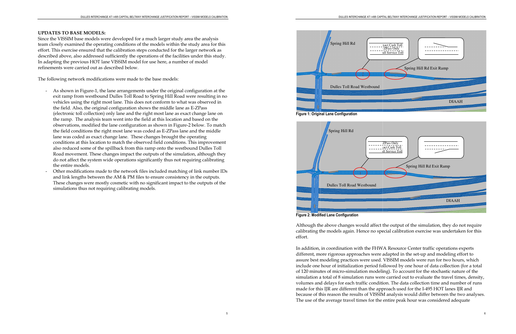#### UPDATES TO BASE MODELS:

Since the VISSIM base models were developed for a much larger study area the analysis team closely examined the operating conditions of the models within the study area for this effort. This exercise ensured that the calibration steps conducted for the larger network as described above, also addressed sufficiently the operations of the facilities under this study. In adapting the previous HOT lane VISSIM model for use here, a number of model refinements were carried out as described below.

The following network modifications were made to the base models:

- As shown in Figure-1, the lane arrangements under the original configuration at the exit ramp from westbound Dulles Toll Road to Spring Hill Road were resulting in no vehicles using the right most lane. This does not conform to what was observed in the field. Also, the original configuration shows the middle lane as E-ZPass (electronic toll collection) only lane and the right most lane as exact change lane on the ramp. The analysis team went into the field at this location and based on the observations, modified the lane configuration as shown in Figure-2 below. To match the field conditions the right most lane was coded as E-ZPass lane and the middle lane was coded as exact change lane. These changes brought the operating conditions at this location to match the observed field conditions. This improvement also reduced some of the spillback from this ramp onto the westbound Dulles Toll Road movement. These changes impact the outputs of the simulation, although they do not affect the system wide operations significantly thus not requiring calibrating the entire models.
- Other modifications made to the network files included matching of link number IDs and link lengths between the AM  $\&$  PM files to ensure consistency in the outputs. These changes were mostly cosmetic with no significant impact to the outputs of the simulations thus not requiring calibrating models.

Although the above changes would affect the output of the simulation, they do not require Although the above changes would affect the output of the simulation, they do not require<br>calibrating the models again. Hence no special calibration exercise was undertaken for this effort.

In addition, in coordination with the FHWA Resource Center traffic operations experts In addition, in coordination with the FHWA Resource Center traffic operations experts<br>different, more rigorous approaches were adapted in the set-up and modeling effort to assure best modeling practices were used. VISSIM models were run for two hours, which include one hour of initialization period followed by one hour of data collection (for a total include one hour of initialization period followed by one hour of data collection (for a tota<br>of 120 minutes of micro-simulation modeling). To account for the stochastic nature of the simulation a total of 8 simulation runs were carried out to evaluate the travel times, density, simulation a total of 8 simulation runs were carried out to evaluate the travel times, density,<br>volumes and delays for each traffic condition. The data collection time and number of runs made for this IJR are different than the approach used for the I because of this reason the results of VISSIM analysis would differ between the two analyses. The use of the average travel times for the entire peak hour was considered adequate e for this IJR are different than the<br>use of this reason the results of VIS<br>use of the average travel times for t simulation modeling). To account for the stochastic nature of t<br>mulation runs were carried out to evaluate the travel times, de<br>each traffic condition. The data collection time and number of<br>ferent than the approach used f



Figure 2: Modified Lane Configuration